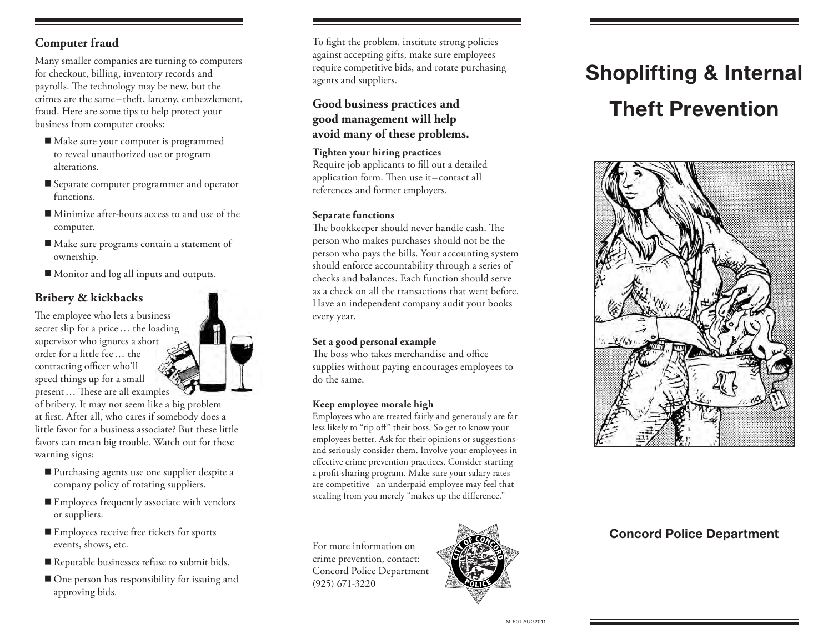#### **Computer fraud**

Many smaller companies are turning to computers for checkout, billing, inventory records and payrolls. The technology may be new, but the crimes are the same – theft, larceny, embezzlement, fraud. Here are some tips to help protect your business from computer crooks:

- Make sure your computer is programmed to reveal unauthorized use or program alterations.
- Separate computer programmer and operator functions.
- Minimize after-hours access to and use of the computer.
- Make sure programs contain a statement of ownership.
- Monitor and log all inputs and outputs.

# **Bribery & kickbacks**

The employee who lets a business secret slip for a price… the loading supervisor who ignores a short order for a little fee… the contracting officer who'll speed things up for a small present… These are all examples

of bribery. It may not seem like a big problem at first. After all, who cares if somebody does a little favor for a business associate? But these little favors can mean big trouble. Watch out for these warning signs:

- **Purchasing agents use one supplier despite a** company policy of rotating suppliers.
- Employees frequently associate with vendors or suppliers.
- Employees receive free tickets for sports events, shows, etc.
- Reputable businesses refuse to submit bids.
- One person has responsibility for issuing and approving bids.

To fight the problem, institute strong policies against accepting gifts, make sure employees require competitive bids, and rotate purchasing agents and suppliers.

#### **Good business practices and good management will help avoid many of these problems.**

**Tighten your hiring practices** Require job applicants to fill out a detailed application form. Then use it– contact all references and former employers.

#### **Separate functions**

The bookkeeper should never handle cash. The person who makes purchases should not be the person who pays the bills. Your accounting system should enforce accountability through a series of checks and balances. Each function should serve as a check on all the transactions that went before. Have an independent company audit your books every year.

#### **Set a good personal example**

The boss who takes merchandise and office supplies without paying encourages employees to do the same.

#### **Keep employee morale high**

Employees who are treated fairly and generously are far less likely to "rip off" their boss. So get to know your employees better. Ask for their opinions or suggestionsand seriously consider them. Involve your employees in effective crime prevention practices. Consider starting a profit-sharing program. Make sure your salary rates are competitive –an underpaid employee may feel that stealing from you merely "makes up the difference."

For more information on crime prevention, contact: Concord Police Department (925) 671-3220



# Shoplifting & Internal Theft Prevention



## Concord Police Department